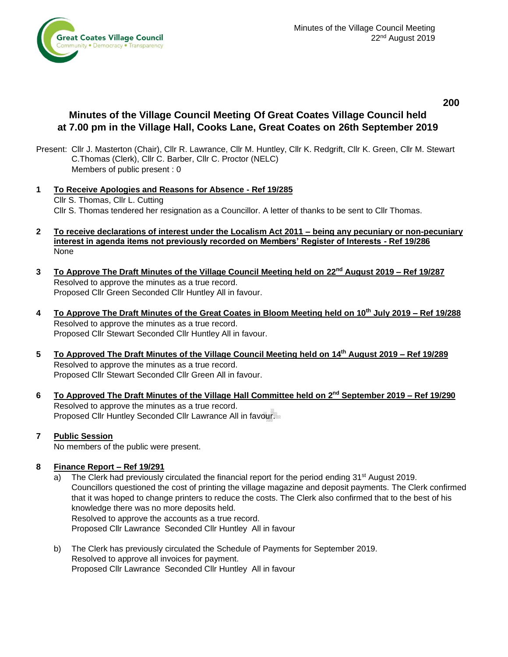

**200**

# **Minutes of the Village Council Meeting Of Great Coates Village Council held at 7.00 pm in the Village Hall, Cooks Lane, Great Coates on 26th September 2019**

- Present: Cllr J. Masterton (Chair), Cllr R. Lawrance, Cllr M. Huntley, Cllr K. Redgrift, Cllr K. Green, Cllr M. Stewart C.Thomas (Clerk), Cllr C. Barber, Cllr C. Proctor (NELC) Members of public present : 0
- **1 To Receive Apologies and Reasons for Absence - Ref 19/285** Cllr S. Thomas, Cllr L. Cutting Cllr S. Thomas tendered her resignation as a Councillor. A letter of thanks to be sent to Cllr Thomas.
- **2 To receive declarations of interest under the Localism Act 2011 – being any pecuniary or non-pecuniary interest in agenda items not previously recorded on Members' Register of Interests - Ref 19/286** None
- **3 To Approve The Draft Minutes of the Village Council Meeting held on 22 nd August 2019 – Ref 19/287** Resolved to approve the minutes as a true record. Proposed Cllr Green Seconded Cllr Huntley All in favour.
- **4 To Approve The Draft Minutes of the Great Coates in Bloom Meeting held on 10th July 2019 – Ref 19/288** Resolved to approve the minutes as a true record. Proposed Cllr Stewart Seconded Cllr Huntley All in favour.
- **5 To Approved The Draft Minutes of the Village Council Meeting held on 14th August 2019 – Ref 19/289** Resolved to approve the minutes as a true record. Proposed Cllr Stewart Seconded Cllr Green All in favour.
- **6 To Approved The Draft Minutes of the Village Hall Committee held on 2 nd September 2019 – Ref 19/290** Resolved to approve the minutes as a true record. Proposed Cllr Huntley Seconded Cllr Lawrance All in favour.

# **7 Public Session**

No members of the public were present.

# **8 Finance Report – Ref 19/291**

- a) The Clerk had previously circulated the financial report for the period ending 31<sup>st</sup> August 2019. Councillors questioned the cost of printing the village magazine and deposit payments. The Clerk confirmed that it was hoped to change printers to reduce the costs. The Clerk also confirmed that to the best of his knowledge there was no more deposits held. Resolved to approve the accounts as a true record. Proposed Cllr Lawrance Seconded Cllr Huntley All in favour
- b) The Clerk has previously circulated the Schedule of Payments for September 2019. Resolved to approve all invoices for payment. Proposed Cllr Lawrance Seconded Cllr Huntley All in favour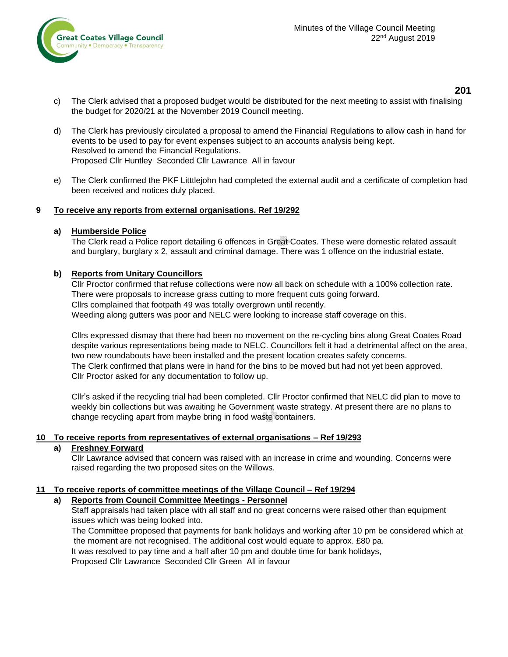

# **201**

- c) The Clerk advised that a proposed budget would be distributed for the next meeting to assist with finalising the budget for 2020/21 at the November 2019 Council meeting.
- d) The Clerk has previously circulated a proposal to amend the Financial Regulations to allow cash in hand for events to be used to pay for event expenses subject to an accounts analysis being kept. Resolved to amend the Financial Regulations. Proposed Cllr Huntley Seconded Cllr Lawrance All in favour
- e) The Clerk confirmed the PKF Litttlejohn had completed the external audit and a certificate of completion had been received and notices duly placed.

### **9 To receive any reports from external organisations. Ref 19/292**

### **a) Humberside Police**

The Clerk read a Police report detailing 6 offences in Great Coates. These were domestic related assault and burglary, burglary x 2, assault and criminal damage. There was 1 offence on the industrial estate.

### **b) Reports from Unitary Councillors**

Cllr Proctor confirmed that refuse collections were now all back on schedule with a 100% collection rate. There were proposals to increase grass cutting to more frequent cuts going forward. Cllrs complained that footpath 49 was totally overgrown until recently. Weeding along gutters was poor and NELC were looking to increase staff coverage on this.

Cllrs expressed dismay that there had been no movement on the re-cycling bins along Great Coates Road despite various representations being made to NELC. Councillors felt it had a detrimental affect on the area, two new roundabouts have been installed and the present location creates safety concerns. The Clerk confirmed that plans were in hand for the bins to be moved but had not yet been approved. Cllr Proctor asked for any documentation to follow up.

Cllr's asked if the recycling trial had been completed. Cllr Proctor confirmed that NELC did plan to move to weekly bin collections but was awaiting he Government waste strategy. At present there are no plans to change recycling apart from maybe bring in food waste containers.

#### **10 To receive reports from representatives of external organisations – Ref 19/293**

# **a) Freshney Forward**

Cllr Lawrance advised that concern was raised with an increase in crime and wounding. Concerns were raised regarding the two proposed sites on the Willows.

#### **11 To receive reports of committee meetings of the Village Council – Ref 19/294**

# **a) Reports from Council Committee Meetings - Personnel**

Staff appraisals had taken place with all staff and no great concerns were raised other than equipment issues which was being looked into.

The Committee proposed that payments for bank holidays and working after 10 pm be considered which at the moment are not recognised. The additional cost would equate to approx. £80 pa. It was resolved to pay time and a half after 10 pm and double time for bank holidays,

Proposed Cllr Lawrance Seconded Cllr Green All in favour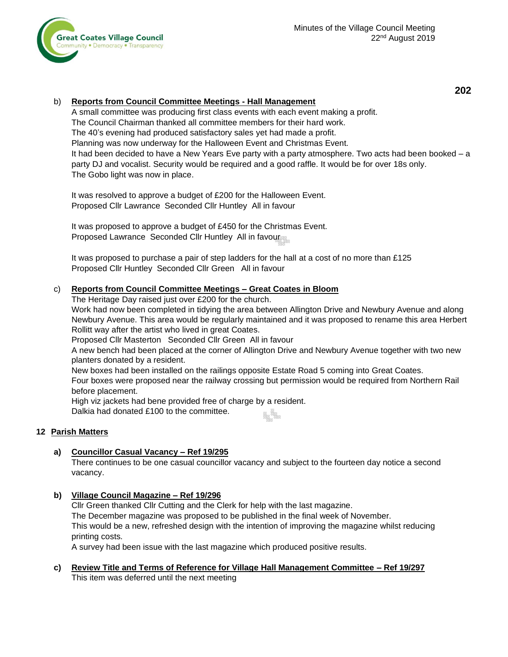

### b) **Reports from Council Committee Meetings - Hall Management**

A small committee was producing first class events with each event making a profit. The Council Chairman thanked all committee members for their hard work. The 40's evening had produced satisfactory sales yet had made a profit. Planning was now underway for the Halloween Event and Christmas Event. It had been decided to have a New Years Eve party with a party atmosphere. Two acts had been booked – a party DJ and vocalist. Security would be required and a good raffle. It would be for over 18s only. The Gobo light was now in place.

It was resolved to approve a budget of £200 for the Halloween Event. Proposed Cllr Lawrance Seconded Cllr Huntley All in favour

It was proposed to approve a budget of £450 for the Christmas Event. Proposed Lawrance Seconded Cllr Huntley All in favour

It was proposed to purchase a pair of step ladders for the hall at a cost of no more than £125 Proposed Cllr Huntley Seconded Cllr Green All in favour

### c) **Reports from Council Committee Meetings – Great Coates in Bloom**

The Heritage Day raised just over £200 for the church.

Work had now been completed in tidying the area between Allington Drive and Newbury Avenue and along Newbury Avenue. This area would be regularly maintained and it was proposed to rename this area Herbert Rollitt way after the artist who lived in great Coates.

Proposed Cllr Masterton Seconded Cllr Green All in favour

A new bench had been placed at the corner of Allington Drive and Newbury Avenue together with two new planters donated by a resident.

New boxes had been installed on the railings opposite Estate Road 5 coming into Great Coates.

Four boxes were proposed near the railway crossing but permission would be required from Northern Rail before placement.

High viz jackets had bene provided free of charge by a resident.

Dalkia had donated £100 to the committee.

# **12 Parish Matters**

# **a) Councillor Casual Vacancy – Ref 19/295**

There continues to be one casual councillor vacancy and subject to the fourteen day notice a second vacancy.

# **b) Village Council Magazine – Ref 19/296**

Cllr Green thanked Cllr Cutting and the Clerk for help with the last magazine. The December magazine was proposed to be published in the final week of November. This would be a new, refreshed design with the intention of improving the magazine whilst reducing printing costs.

A survey had been issue with the last magazine which produced positive results.

**c) Review Title and Terms of Reference for Village Hall Management Committee – Ref 19/297** This item was deferred until the next meeting

**202**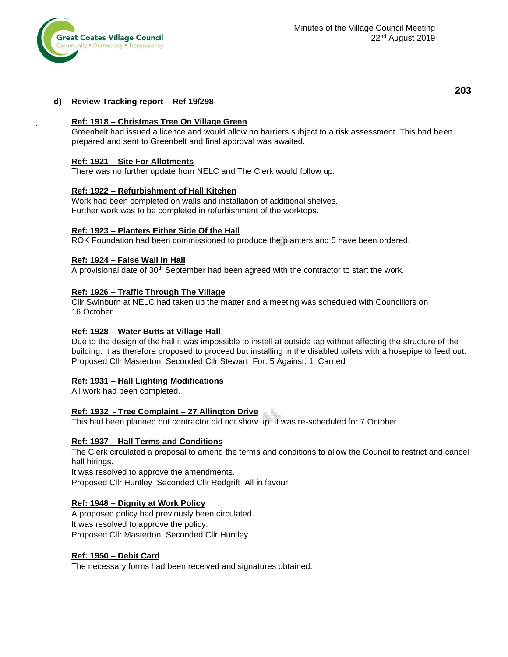

### **d) Review Tracking report – Ref 19/298**

#### **Ref: 1918 – Christmas Tree On Village Green**

Greenbelt had issued a licence and would allow no barriers subject to a risk assessment. This had been prepared and sent to Greenbelt and final approval was awaited.

#### **Ref: 1921 – Site For Allotments**

There was no further update from NELC and The Clerk would follow up.

#### **Ref: 1922 – Refurbishment of Hall Kitchen**

Work had been completed on walls and installation of additional shelves. Further work was to be completed in refurbishment of the worktops.

#### **Ref: 1923 – Planters Either Side Of the Hall**

ROK Foundation had been commissioned to produce the planters and 5 have been ordered.

#### **Ref: 1924 – False Wall in Hall**

A provisional date of 30th September had been agreed with the contractor to start the work.

#### **Ref: 1926 – Traffic Through The Village**

Cllr Swinburn at NELC had taken up the matter and a meeting was scheduled with Councillors on 16 October.

#### **Ref: 1928 – Water Butts at Village Hall**

Due to the design of the hall it was impossible to install at outside tap without affecting the structure of the building. It as therefore proposed to proceed but installing in the disabled toilets with a hosepipe to feed out. Proposed Cllr Masterton Seconded Cllr Stewart For: 5 Against: 1 Carried

#### **Ref: 1931 – Hall Lighting Modifications**

All work had been completed.

#### **Ref: 1932 - Tree Complaint – 27 Allington Drive**

This had been planned but contractor did not show up. It was re-scheduled for 7 October.

#### **Ref: 1937 – Hall Terms and Conditions**

The Clerk circulated a proposal to amend the terms and conditions to allow the Council to restrict and cancel hall hirings.

It was resolved to approve the amendments. Proposed Cllr Huntley Seconded Cllr Redgrift All in favour

#### **Ref: 1948 – Dignity at Work Policy**

A proposed policy had previously been circulated. It was resolved to approve the policy. Proposed Cllr Masterton Seconded Cllr Huntley

#### **Ref: 1950 – Debit Card**

The necessary forms had been received and signatures obtained.